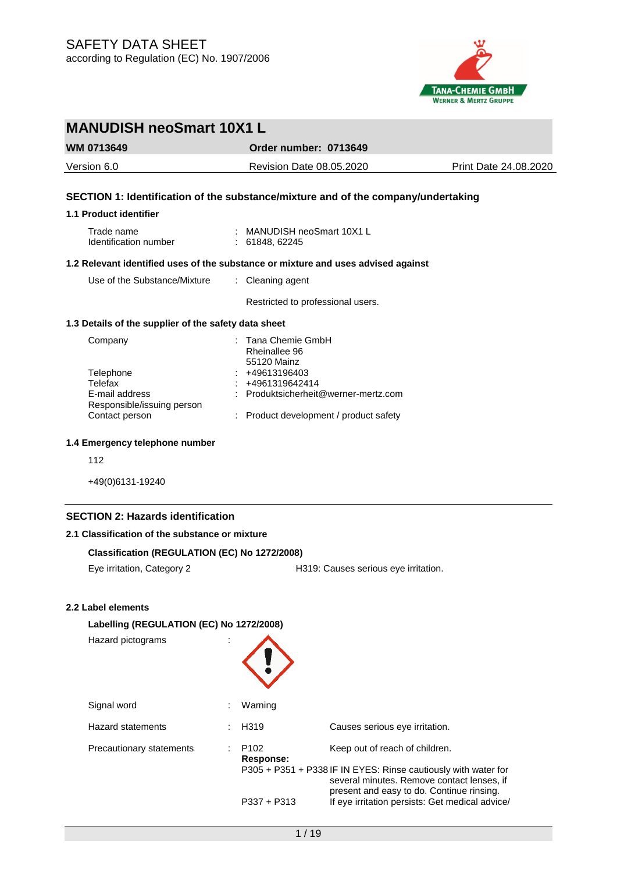

# **MANUDISH neoSmart 10X1 L WM 0713649 Order number: 0713649** Version 6.0 Revision Date 08.05.2020 Print Date 24.08.2020 **SECTION 1: Identification of the substance/mixture and of the company/undertaking 1.1 Product identifier** Trade name : MANUDISH neoSmart 10X1 L Identification number : 61848, 62245 **1.2 Relevant identified uses of the substance or mixture and uses advised against** Use of the Substance/Mixture : Cleaning agent Restricted to professional users. **1.3 Details of the supplier of the safety data sheet** Company : Tana Chemie GmbH Rheinallee 96 55120 Mainz Telephone : +49613196403 Telefax : +4961319642414 E-mail address Responsible/issuing person : Produktsicherheit@werner-mertz.com Contact person : Product development / product safety **1.4 Emergency telephone number** 112 +49(0)6131-19240 **SECTION 2: Hazards identification 2.1 Classification of the substance or mixture**

### **Classification (REGULATION (EC) No 1272/2008)**

Eye irritation, Category 2 **H319:** Causes serious eye irritation.

## **2.2 Label elements**

#### **Labelling (REGULATION (EC) No 1272/2008)**

| Hazard pictograms               |                               |                                                                                                                                                                                             |
|---------------------------------|-------------------------------|---------------------------------------------------------------------------------------------------------------------------------------------------------------------------------------------|
| Signal word                     | Warning                       |                                                                                                                                                                                             |
| <b>Hazard statements</b>        | H <sub>319</sub>              | Causes serious eye irritation.                                                                                                                                                              |
| <b>Precautionary statements</b> | P <sub>102</sub><br>Response: | Keep out of reach of children.<br>P305 + P351 + P338 IF IN EYES: Rinse cautiously with water for<br>several minutes. Remove contact lenses, if<br>present and easy to do. Continue rinsing. |
|                                 | $P337 + P313$                 | If eye irritation persists: Get medical advice/                                                                                                                                             |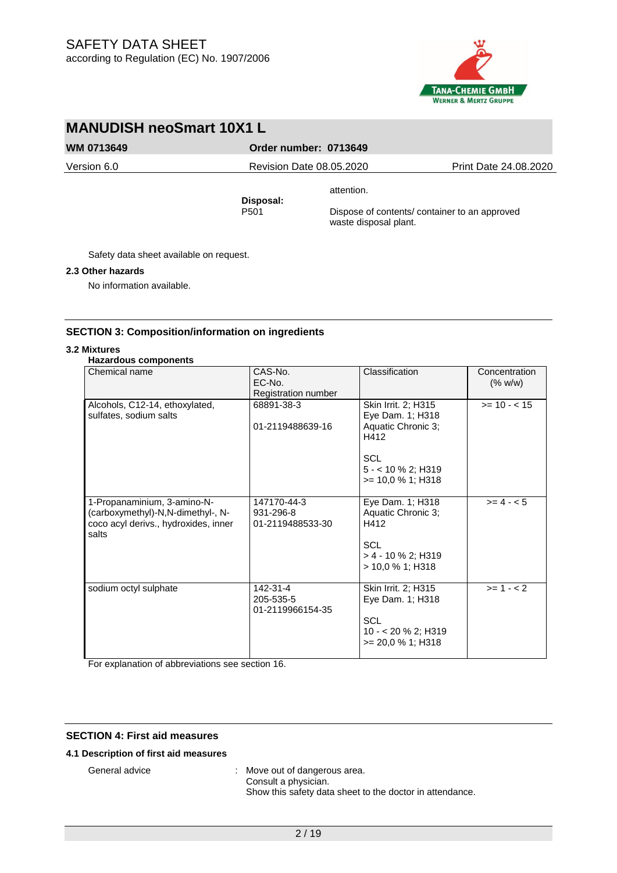

**WM 0713649 Order number: 0713649**

attention.

Version 6.0 Revision Date 08.05.2020 Print Date 24.08.2020

**Disposal:** 

Dispose of contents/ container to an approved

waste disposal plant.

Safety data sheet available on request.

## **2.3 Other hazards**

No information available.

## **SECTION 3: Composition/information on ingredients**

## **3.2 Mixtures**

## **Hazardous components**

| Chemical name                                                                                                     | CAS-No.<br>EC-No.<br>Registration number     | Classification                                                                                                                    | Concentration<br>(% w/w) |
|-------------------------------------------------------------------------------------------------------------------|----------------------------------------------|-----------------------------------------------------------------------------------------------------------------------------------|--------------------------|
| Alcohols, C12-14, ethoxylated,<br>sulfates, sodium salts                                                          | 68891-38-3<br>01-2119488639-16               | Skin Irrit. 2; H315<br>Eye Dam. 1; H318<br>Aquatic Chronic 3;<br>H412<br><b>SCL</b><br>$5 - 10 \%$ 2; H319<br>$>= 10.0 % 1; H318$ | $>= 10 - 15$             |
| 1-Propanaminium, 3-amino-N-<br>(carboxymethyl)-N,N-dimethyl-, N-<br>coco acyl derivs., hydroxides, inner<br>salts | 147170-44-3<br>931-296-8<br>01-2119488533-30 | Eye Dam. 1; H318<br>Aquatic Chronic 3;<br>H412<br><b>SCL</b><br>$> 4 - 10$ % 2; H319<br>$>$ 10.0 % 1; H318                        | $>= 4 - 5$               |
| sodium octyl sulphate                                                                                             | 142-31-4<br>205-535-5<br>01-2119966154-35    | Skin Irrit. 2; H315<br>Eye Dam. 1; H318<br><b>SCL</b><br>$10 - 20 \%$ 2; H319<br>$>= 20.0 %1; H318$                               | $>= 1 - 2$               |

For explanation of abbreviations see section 16.

## **SECTION 4: First aid measures**

## **4.1 Description of first aid measures**

General advice : Move out of dangerous area. Consult a physician.

Show this safety data sheet to the doctor in attendance.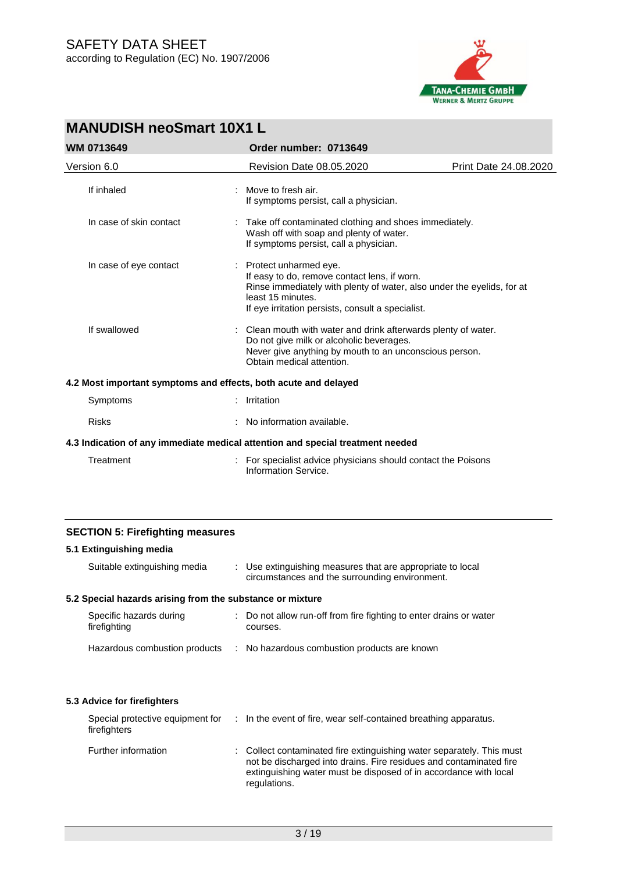

| <b>WM 0713649</b>                                               | Order number: 0713649                                                                                                                                                                                                       |                       |
|-----------------------------------------------------------------|-----------------------------------------------------------------------------------------------------------------------------------------------------------------------------------------------------------------------------|-----------------------|
| Version 6.0                                                     | <b>Revision Date 08.05.2020</b>                                                                                                                                                                                             | Print Date 24.08.2020 |
| If inhaled                                                      | Move to fresh air.<br>If symptoms persist, call a physician.                                                                                                                                                                |                       |
| In case of skin contact                                         | Take off contaminated clothing and shoes immediately.<br>Wash off with soap and plenty of water.<br>If symptoms persist, call a physician.                                                                                  |                       |
| In case of eye contact                                          | : Protect unharmed eye.<br>If easy to do, remove contact lens, if worn.<br>Rinse immediately with plenty of water, also under the eyelids, for at<br>least 15 minutes.<br>If eye irritation persists, consult a specialist. |                       |
| If swallowed                                                    | Clean mouth with water and drink afterwards plenty of water.<br>Do not give milk or alcoholic beverages.<br>Never give anything by mouth to an unconscious person.<br>Obtain medical attention.                             |                       |
| 4.2 Most important symptoms and effects, both acute and delayed |                                                                                                                                                                                                                             |                       |
| Symptoms                                                        | Irritation                                                                                                                                                                                                                  |                       |
| <b>Risks</b>                                                    | No information available.                                                                                                                                                                                                   |                       |
|                                                                 | 4.3 Indication of any immediate medical attention and special treatment needed                                                                                                                                              |                       |
| Treatment                                                       | For specialist advice physicians should contact the Poisons<br>Information Service.                                                                                                                                         |                       |

## **SECTION 5: Firefighting measures**

## **5.1 Extinguishing media** Suitable extinguishing media : Use extinguishing measures that are appropriate to local circumstances and the surrounding environment. **5.2 Special hazards arising from the substance or mixture** Specific hazards during firefighting : Do not allow run-off from fire fighting to enter drains or water courses. Hazardous combustion products : No hazardous combustion products are known **5.3 Advice for firefighters** Special protective equipment for : In the event of fire, wear self-contained breathing apparatus. firefighters Further information : Collect contaminated fire extinguishing water separately. This must not be discharged into drains. Fire residues and contaminated fire extinguishing water must be disposed of in accordance with local regulations.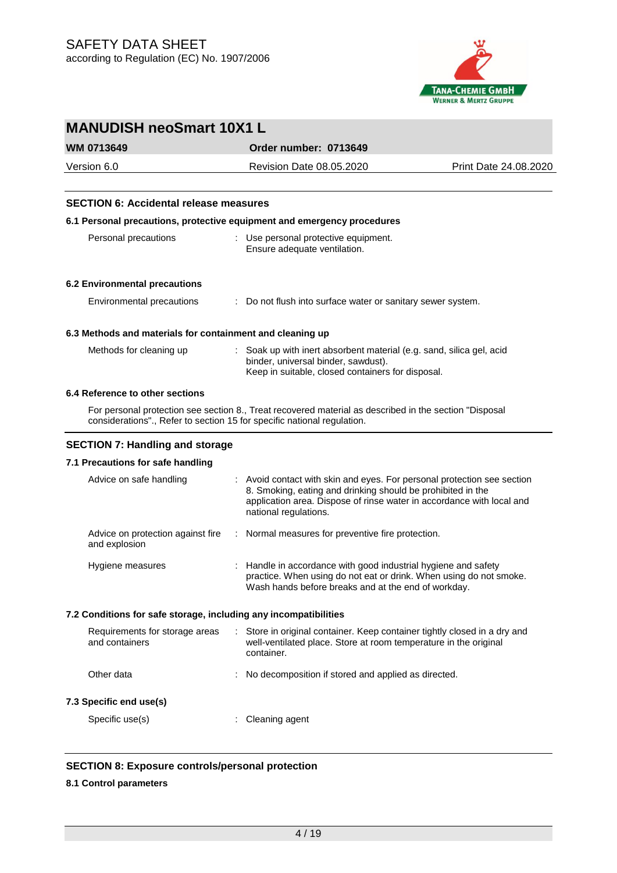

| <b>MANUDISH neoSmart 10X1 L</b>                                         |   |                                                                                                                                                                                                                                          |                       |  |  |
|-------------------------------------------------------------------------|---|------------------------------------------------------------------------------------------------------------------------------------------------------------------------------------------------------------------------------------------|-----------------------|--|--|
| <b>WM 0713649</b>                                                       |   | Order number: 0713649                                                                                                                                                                                                                    |                       |  |  |
| Version 6.0                                                             |   | Revision Date 08.05.2020                                                                                                                                                                                                                 | Print Date 24.08.2020 |  |  |
|                                                                         |   |                                                                                                                                                                                                                                          |                       |  |  |
| <b>SECTION 6: Accidental release measures</b>                           |   |                                                                                                                                                                                                                                          |                       |  |  |
| 6.1 Personal precautions, protective equipment and emergency procedures |   |                                                                                                                                                                                                                                          |                       |  |  |
| Personal precautions                                                    |   | : Use personal protective equipment.<br>Ensure adequate ventilation.                                                                                                                                                                     |                       |  |  |
| 6.2 Environmental precautions                                           |   |                                                                                                                                                                                                                                          |                       |  |  |
| Environmental precautions                                               |   | Do not flush into surface water or sanitary sewer system.                                                                                                                                                                                |                       |  |  |
| 6.3 Methods and materials for containment and cleaning up               |   |                                                                                                                                                                                                                                          |                       |  |  |
| Methods for cleaning up                                                 |   | Soak up with inert absorbent material (e.g. sand, silica gel, acid<br>binder, universal binder, sawdust).<br>Keep in suitable, closed containers for disposal.                                                                           |                       |  |  |
| 6.4 Reference to other sections                                         |   |                                                                                                                                                                                                                                          |                       |  |  |
| considerations"., Refer to section 15 for specific national regulation. |   | For personal protection see section 8., Treat recovered material as described in the section "Disposal                                                                                                                                   |                       |  |  |
| <b>SECTION 7: Handling and storage</b>                                  |   |                                                                                                                                                                                                                                          |                       |  |  |
| 7.1 Precautions for safe handling                                       |   |                                                                                                                                                                                                                                          |                       |  |  |
| Advice on safe handling                                                 |   | : Avoid contact with skin and eyes. For personal protection see section<br>8. Smoking, eating and drinking should be prohibited in the<br>application area. Dispose of rinse water in accordance with local and<br>national regulations. |                       |  |  |
| Advice on protection against fire<br>and explosion                      | ÷ | Normal measures for preventive fire protection.                                                                                                                                                                                          |                       |  |  |
| Hygiene measures                                                        |   | : Handle in accordance with good industrial hygiene and safety<br>practice. When using do not eat or drink. When using do not smoke.<br>Wash hands before breaks and at the end of workday.                                              |                       |  |  |
| 7.2 Conditions for safe storage, including any incompatibilities        |   |                                                                                                                                                                                                                                          |                       |  |  |
| Requirements for storage areas<br>and containers                        | ÷ | Store in original container. Keep container tightly closed in a dry and<br>well-ventilated place. Store at room temperature in the original<br>container.                                                                                |                       |  |  |
| Other data                                                              |   | No decomposition if stored and applied as directed.                                                                                                                                                                                      |                       |  |  |
| 7.3 Specific end use(s)                                                 |   |                                                                                                                                                                                                                                          |                       |  |  |
| Specific use(s)                                                         |   | Cleaning agent                                                                                                                                                                                                                           |                       |  |  |

## **SECTION 8: Exposure controls/personal protection**

## **8.1 Control parameters**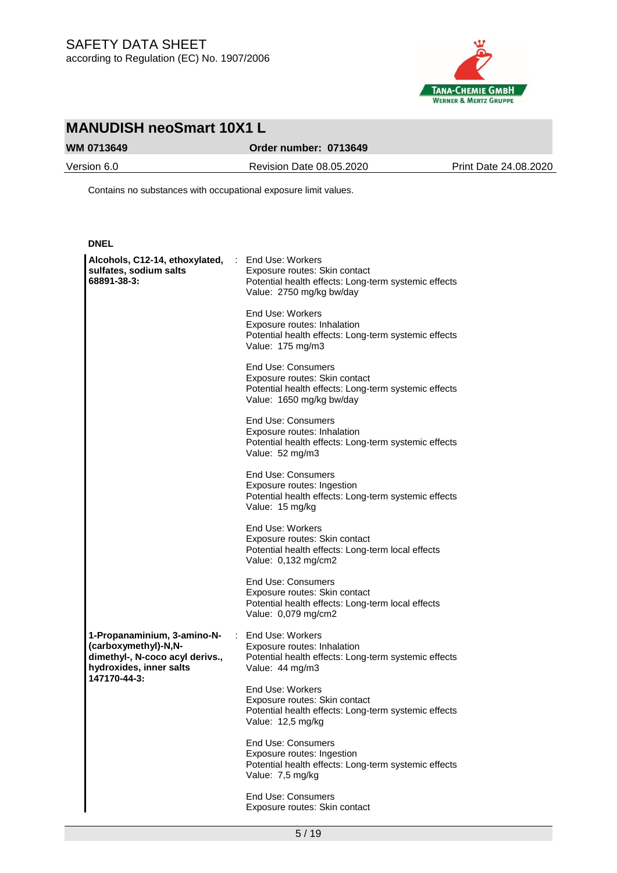

## **WM 0713649 Order number: 0713649**

Version 6.0 Revision Date 08.05.2020 Print Date 24.08.2020

Contains no substances with occupational exposure limit values.

| <b>DNEL</b>                                                                                                                       |                                                                                                                                                |
|-----------------------------------------------------------------------------------------------------------------------------------|------------------------------------------------------------------------------------------------------------------------------------------------|
| Alcohols, C12-14, ethoxylated, : End Use: Workers<br>sulfates, sodium salts<br>68891-38-3:                                        | Exposure routes: Skin contact<br>Potential health effects: Long-term systemic effects<br>Value: 2750 mg/kg bw/day                              |
|                                                                                                                                   | End Use: Workers<br>Exposure routes: Inhalation<br>Potential health effects: Long-term systemic effects<br>Value: 175 mg/m3                    |
|                                                                                                                                   | <b>End Use: Consumers</b><br>Exposure routes: Skin contact<br>Potential health effects: Long-term systemic effects<br>Value: 1650 mg/kg bw/day |
|                                                                                                                                   | End Use: Consumers<br>Exposure routes: Inhalation<br>Potential health effects: Long-term systemic effects<br>Value: 52 mg/m3                   |
|                                                                                                                                   | <b>End Use: Consumers</b><br>Exposure routes: Ingestion<br>Potential health effects: Long-term systemic effects<br>Value: 15 mg/kg             |
|                                                                                                                                   | End Use: Workers<br>Exposure routes: Skin contact<br>Potential health effects: Long-term local effects<br>Value: 0,132 mg/cm2                  |
|                                                                                                                                   | End Use: Consumers<br>Exposure routes: Skin contact<br>Potential health effects: Long-term local effects<br>Value: 0,079 mg/cm2                |
| 1-Propanaminium, 3-amino-N-<br>(carboxymethyl)-N,N-<br>dimethyl-, N-coco acyl derivs.,<br>hydroxides, inner salts<br>147170-44-3: | : End Use: Workers<br>Exposure routes: Inhalation<br>Potential health effects: Long-term systemic effects<br>Value: 44 mg/m3                   |
|                                                                                                                                   | End Use: Workers<br>Exposure routes: Skin contact<br>Potential health effects: Long-term systemic effects<br>Value: 12,5 mg/kg                 |
|                                                                                                                                   | <b>End Use: Consumers</b><br>Exposure routes: Ingestion<br>Potential health effects: Long-term systemic effects<br>Value: 7,5 mg/kg            |
|                                                                                                                                   | <b>End Use: Consumers</b><br>Exposure routes: Skin contact                                                                                     |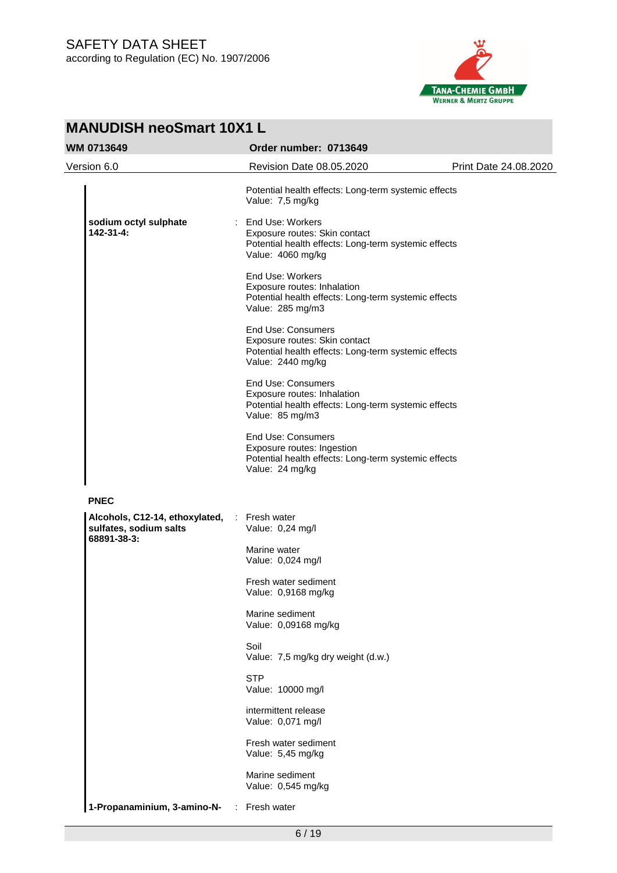

| <b>MANUDISH neoSmart 10X1 L</b>                                                       |                                                                                                                                         |                       |  |  |
|---------------------------------------------------------------------------------------|-----------------------------------------------------------------------------------------------------------------------------------------|-----------------------|--|--|
| <b>WM 0713649</b>                                                                     | Order number: 0713649                                                                                                                   |                       |  |  |
| Version 6.0                                                                           | Revision Date 08.05.2020                                                                                                                | Print Date 24.08.2020 |  |  |
|                                                                                       | Potential health effects: Long-term systemic effects<br>Value: 7,5 mg/kg                                                                |                       |  |  |
| sodium octyl sulphate<br>$142 - 31 - 4:$                                              | End Use: Workers<br>Exposure routes: Skin contact<br>Potential health effects: Long-term systemic effects<br>Value: 4060 mg/kg          |                       |  |  |
|                                                                                       | End Use: Workers<br>Exposure routes: Inhalation<br>Potential health effects: Long-term systemic effects<br>Value: 285 mg/m3             |                       |  |  |
|                                                                                       | <b>End Use: Consumers</b><br>Exposure routes: Skin contact<br>Potential health effects: Long-term systemic effects<br>Value: 2440 mg/kg |                       |  |  |
|                                                                                       | <b>End Use: Consumers</b><br>Exposure routes: Inhalation<br>Potential health effects: Long-term systemic effects<br>Value: 85 mg/m3     |                       |  |  |
|                                                                                       | <b>End Use: Consumers</b><br>Exposure routes: Ingestion<br>Potential health effects: Long-term systemic effects<br>Value: 24 mg/kg      |                       |  |  |
| <b>PNEC</b>                                                                           |                                                                                                                                         |                       |  |  |
| Alcohols, C12-14, ethoxylated, : Fresh water<br>sulfates, sodium salts<br>68891-38-3: | Value: 0,24 mg/l                                                                                                                        |                       |  |  |
|                                                                                       | Marine water<br>Value: 0,024 mg/l                                                                                                       |                       |  |  |
|                                                                                       | Fresh water sediment<br>Value: 0,9168 mg/kg                                                                                             |                       |  |  |
|                                                                                       | Marine sediment<br>Value: 0,09168 mg/kg                                                                                                 |                       |  |  |
|                                                                                       | Soil<br>Value: 7,5 mg/kg dry weight (d.w.)                                                                                              |                       |  |  |
|                                                                                       | <b>STP</b><br>Value: 10000 mg/l                                                                                                         |                       |  |  |
|                                                                                       | intermittent release<br>Value: 0,071 mg/l                                                                                               |                       |  |  |
|                                                                                       | Fresh water sediment<br>Value: 5,45 mg/kg                                                                                               |                       |  |  |
|                                                                                       | Marine sediment<br>Value: 0,545 mg/kg                                                                                                   |                       |  |  |
| 1-Propanaminium, 3-amino-N-<br>$\mathbb{Z}^+$                                         | Fresh water                                                                                                                             |                       |  |  |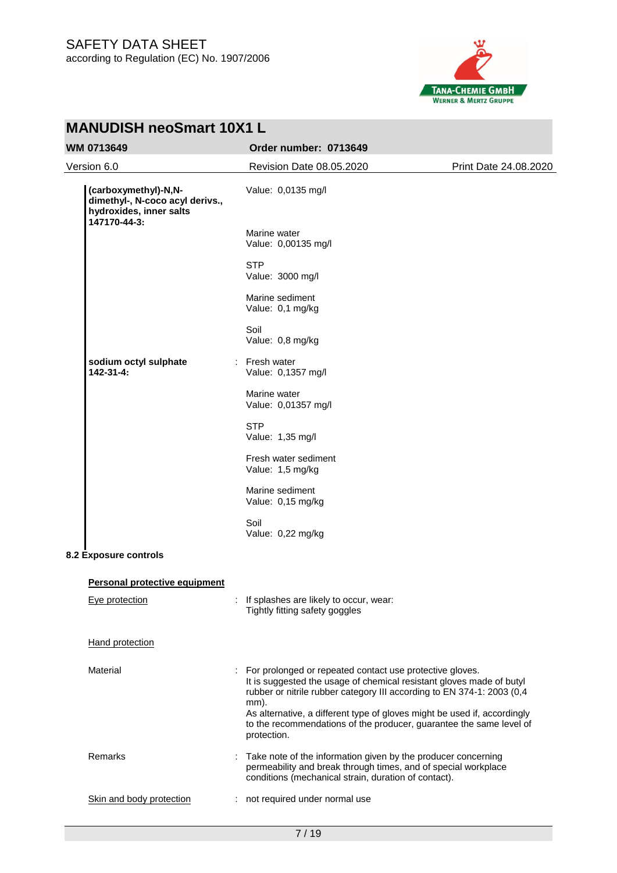

| <b>MANUDISH neoSmart 10X1 L</b>                                                                    |                                                                                                                                                                                                                                                                                                  |                       |  |  |
|----------------------------------------------------------------------------------------------------|--------------------------------------------------------------------------------------------------------------------------------------------------------------------------------------------------------------------------------------------------------------------------------------------------|-----------------------|--|--|
| WM 0713649                                                                                         | Order number: 0713649                                                                                                                                                                                                                                                                            |                       |  |  |
| Version 6.0                                                                                        | Revision Date 08.05.2020                                                                                                                                                                                                                                                                         | Print Date 24.08.2020 |  |  |
| (carboxymethyl)-N,N-<br>dimethyl-, N-coco acyl derivs.,<br>hydroxides, inner salts<br>147170-44-3: | Value: 0,0135 mg/l                                                                                                                                                                                                                                                                               |                       |  |  |
|                                                                                                    | Marine water<br>Value: 0,00135 mg/l                                                                                                                                                                                                                                                              |                       |  |  |
|                                                                                                    | <b>STP</b><br>Value: 3000 mg/l                                                                                                                                                                                                                                                                   |                       |  |  |
|                                                                                                    | Marine sediment<br>Value: 0,1 mg/kg                                                                                                                                                                                                                                                              |                       |  |  |
|                                                                                                    | Soil<br>Value: 0,8 mg/kg                                                                                                                                                                                                                                                                         |                       |  |  |
| sodium octyl sulphate<br>$142 - 31 - 4:$                                                           | : Fresh water<br>Value: 0,1357 mg/l                                                                                                                                                                                                                                                              |                       |  |  |
|                                                                                                    | Marine water<br>Value: 0,01357 mg/l                                                                                                                                                                                                                                                              |                       |  |  |
|                                                                                                    | <b>STP</b><br>Value: 1,35 mg/l                                                                                                                                                                                                                                                                   |                       |  |  |
|                                                                                                    | Fresh water sediment<br>Value: 1,5 mg/kg                                                                                                                                                                                                                                                         |                       |  |  |
|                                                                                                    | Marine sediment<br>Value: 0,15 mg/kg                                                                                                                                                                                                                                                             |                       |  |  |
|                                                                                                    | Soil<br>Value: 0,22 mg/kg                                                                                                                                                                                                                                                                        |                       |  |  |
| 8.2 Exposure controls                                                                              |                                                                                                                                                                                                                                                                                                  |                       |  |  |
| <b>Personal protective equipment</b>                                                               |                                                                                                                                                                                                                                                                                                  |                       |  |  |
| Eye protection                                                                                     | If splashes are likely to occur, wear:<br>Tightly fitting safety goggles                                                                                                                                                                                                                         |                       |  |  |
| <b>Hand protection</b>                                                                             |                                                                                                                                                                                                                                                                                                  |                       |  |  |
| Material                                                                                           | : For prolonged or repeated contact use protective gloves.<br>It is suggested the usage of chemical resistant gloves made of butyl<br>rubber or nitrile rubber category III according to EN 374-1: 2003 (0,4<br>mm).<br>As alternative, a different type of gloves might be used if, accordingly |                       |  |  |
|                                                                                                    | to the recommendations of the producer, guarantee the same level of<br>protection.                                                                                                                                                                                                               |                       |  |  |
| Remarks                                                                                            | Take note of the information given by the producer concerning<br>permeability and break through times, and of special workplace<br>conditions (mechanical strain, duration of contact).                                                                                                          |                       |  |  |
| Skin and body protection                                                                           | not required under normal use                                                                                                                                                                                                                                                                    |                       |  |  |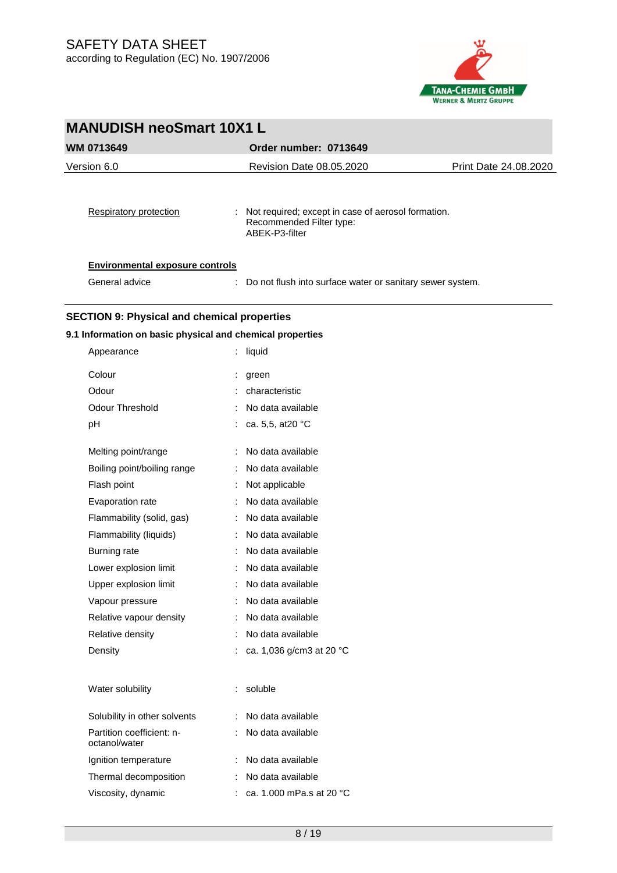

| <b>MANUDISH neoSmart 10X1 L</b>                    |                                                                                                    |                       |
|----------------------------------------------------|----------------------------------------------------------------------------------------------------|-----------------------|
| <b>WM 0713649</b>                                  | Order number: 0713649                                                                              |                       |
| Version 6.0                                        | Revision Date 08.05.2020                                                                           | Print Date 24.08.2020 |
| Respiratory protection                             | : Not required; except in case of aerosol formation.<br>Recommended Filter type:<br>ABEK-P3-filter |                       |
| <b>Environmental exposure controls</b>             |                                                                                                    |                       |
| General advice                                     | : Do not flush into surface water or sanitary sewer system.                                        |                       |
| <b>SECTION 9: Physical and chemical properties</b> |                                                                                                    |                       |

## **9.1 Information on basic physical and chemical properties**

| Appearance                                 | liquid                   |
|--------------------------------------------|--------------------------|
| Colour                                     | İ.<br>green              |
| Odour                                      | characteristic           |
| <b>Odour Threshold</b>                     | No data available        |
| рH                                         | ca. 5,5, at 20 °C        |
| Melting point/range                        | No data available        |
| Boiling point/boiling range                | No data available        |
| Flash point                                | Not applicable           |
| Evaporation rate                           | No data available        |
| Flammability (solid, gas)                  | No data available        |
| Flammability (liquids)                     | No data available        |
| Burning rate                               | No data available        |
| Lower explosion limit                      | No data available        |
| Upper explosion limit                      | No data available        |
| Vapour pressure                            | No data available        |
| Relative vapour density                    | No data available        |
| Relative density                           | No data available        |
| Density                                    | ca. 1,036 g/cm3 at 20 °C |
| Water solubility                           | soluble<br>÷             |
| Solubility in other solvents               | No data available        |
| Partition coefficient: n-<br>octanol/water | No data available        |
| Ignition temperature                       | No data available        |
| Thermal decomposition                      | No data available        |
| Viscosity, dynamic                         | ca. 1.000 mPa.s at 20 °C |
|                                            |                          |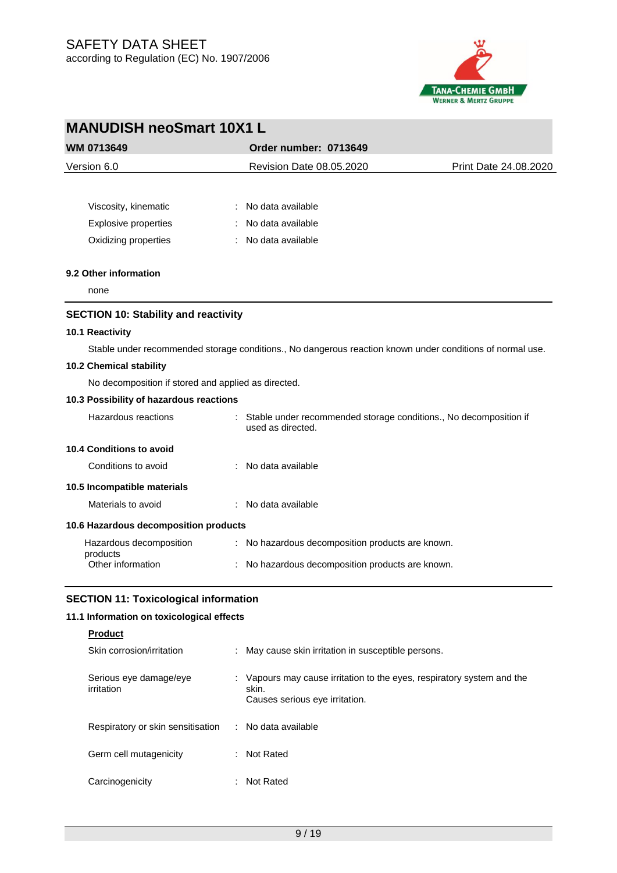

| <b>MANUDISH neoSmart 10X1 L</b>                     |                                                                                                           |                       |  |  |
|-----------------------------------------------------|-----------------------------------------------------------------------------------------------------------|-----------------------|--|--|
| WM 0713649                                          | Order number: 0713649                                                                                     |                       |  |  |
| Version 6.0                                         | Revision Date 08.05.2020                                                                                  | Print Date 24.08.2020 |  |  |
|                                                     |                                                                                                           |                       |  |  |
| Viscosity, kinematic                                | No data available                                                                                         |                       |  |  |
| Explosive properties                                | No data available                                                                                         |                       |  |  |
| Oxidizing properties                                | No data available                                                                                         |                       |  |  |
| 9.2 Other information                               |                                                                                                           |                       |  |  |
| none                                                |                                                                                                           |                       |  |  |
| <b>SECTION 10: Stability and reactivity</b>         |                                                                                                           |                       |  |  |
| 10.1 Reactivity                                     |                                                                                                           |                       |  |  |
|                                                     | Stable under recommended storage conditions., No dangerous reaction known under conditions of normal use. |                       |  |  |
| 10.2 Chemical stability                             |                                                                                                           |                       |  |  |
| No decomposition if stored and applied as directed. |                                                                                                           |                       |  |  |
| 10.3 Possibility of hazardous reactions             |                                                                                                           |                       |  |  |
| Hazardous reactions                                 | : Stable under recommended storage conditions., No decomposition if<br>used as directed.                  |                       |  |  |
| 10.4 Conditions to avoid                            |                                                                                                           |                       |  |  |
| Conditions to avoid                                 | : No data available                                                                                       |                       |  |  |
| 10.5 Incompatible materials                         |                                                                                                           |                       |  |  |
| Materials to avoid                                  | : No data available                                                                                       |                       |  |  |
| 10.6 Hazardous decomposition products               |                                                                                                           |                       |  |  |
| Hazardous decomposition<br>products                 | : No hazardous decomposition products are known.                                                          |                       |  |  |
| Other information                                   | No hazardous decomposition products are known.                                                            |                       |  |  |
|                                                     |                                                                                                           |                       |  |  |

## **SECTION 11: Toxicological information**

## **11.1 Information on toxicological effects**

## **Product**

| Skin corrosion/irritation            | : May cause skin irritation in susceptible persons.                                                             |
|--------------------------------------|-----------------------------------------------------------------------------------------------------------------|
| Serious eye damage/eye<br>irritation | Vapours may cause irritation to the eyes, respiratory system and the<br>skin.<br>Causes serious eye irritation. |
| Respiratory or skin sensitisation    | : No data available                                                                                             |
| Germ cell mutagenicity               | : Not Rated                                                                                                     |
| Carcinogenicity                      | Not Rated                                                                                                       |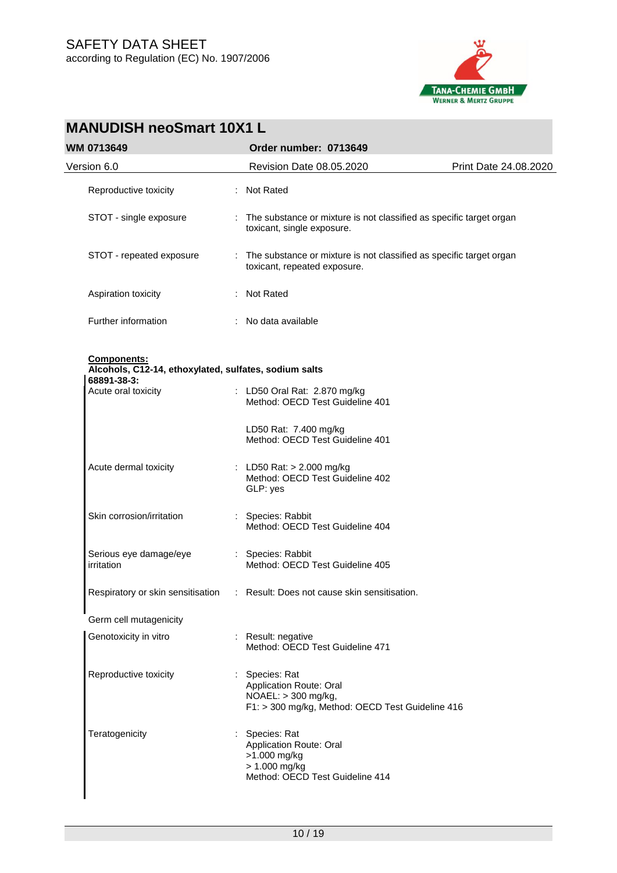

| <b>MANUDISH neoSmart 10X1 L</b>                                                     |                                                                                                                      |                       |  |  |
|-------------------------------------------------------------------------------------|----------------------------------------------------------------------------------------------------------------------|-----------------------|--|--|
| <b>WM 0713649</b>                                                                   | Order number: 0713649                                                                                                |                       |  |  |
| Version 6.0                                                                         | Revision Date 08.05.2020                                                                                             | Print Date 24.08.2020 |  |  |
| Reproductive toxicity                                                               | : Not Rated                                                                                                          |                       |  |  |
| STOT - single exposure                                                              | : The substance or mixture is not classified as specific target organ<br>toxicant, single exposure.                  |                       |  |  |
| STOT - repeated exposure                                                            | The substance or mixture is not classified as specific target organ<br>÷<br>toxicant, repeated exposure.             |                       |  |  |
| Aspiration toxicity                                                                 | Not Rated                                                                                                            |                       |  |  |
| Further information                                                                 | : No data available                                                                                                  |                       |  |  |
| Components:<br>Alcohols, C12-14, ethoxylated, sulfates, sodium salts<br>68891-38-3: |                                                                                                                      |                       |  |  |
| Acute oral toxicity                                                                 | : LD50 Oral Rat: 2.870 mg/kg<br>Method: OECD Test Guideline 401                                                      |                       |  |  |
|                                                                                     | LD50 Rat: 7.400 mg/kg<br>Method: OECD Test Guideline 401                                                             |                       |  |  |
| Acute dermal toxicity                                                               | : LD50 Rat: $> 2.000$ mg/kg<br>Method: OECD Test Guideline 402<br>GLP: yes                                           |                       |  |  |
| Skin corrosion/irritation                                                           | : Species: Rabbit<br>Method: OECD Test Guideline 404                                                                 |                       |  |  |
| Serious eye damage/eye<br>irritation                                                | : Species: Rabbit<br>Method: OECD Test Guideline 405                                                                 |                       |  |  |
|                                                                                     | Respiratory or skin sensitisation : Result: Does not cause skin sensitisation.                                       |                       |  |  |
| Germ cell mutagenicity                                                              |                                                                                                                      |                       |  |  |
| Genotoxicity in vitro                                                               | : Result: negative<br>Method: OECD Test Guideline 471                                                                |                       |  |  |
| Reproductive toxicity                                                               | : Species: Rat<br>Application Route: Oral<br>NOAEL: > 300 mg/kg,<br>F1: > 300 mg/kg, Method: OECD Test Guideline 416 |                       |  |  |
| Teratogenicity                                                                      | Species: Rat<br>Application Route: Oral<br>>1.000 mg/kg<br>> 1.000 mg/kg<br>Method: OECD Test Guideline 414          |                       |  |  |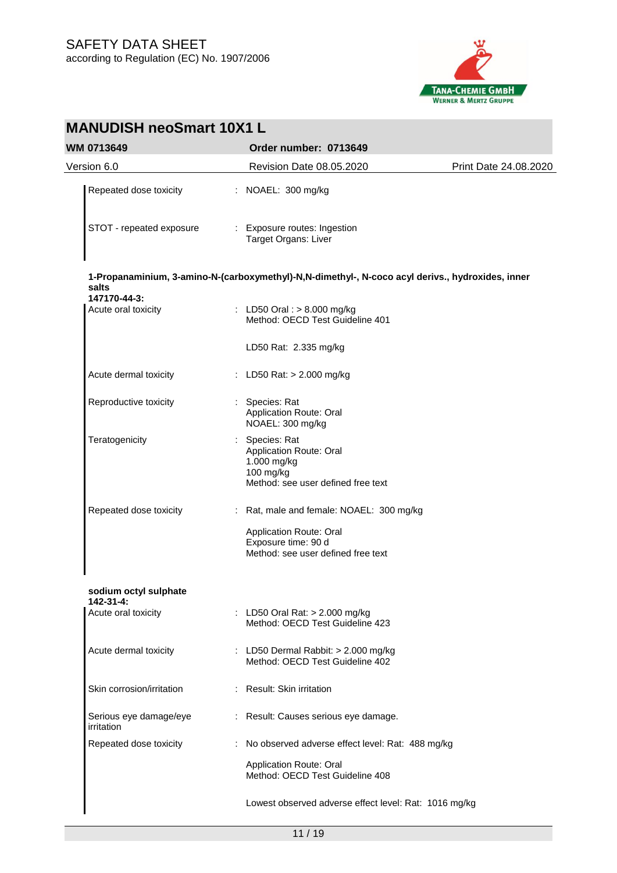

| <b>MANUDISH neoSmart 10X1 L</b>           |  |                                                                                                             |                       |  |
|-------------------------------------------|--|-------------------------------------------------------------------------------------------------------------|-----------------------|--|
| <b>WM 0713649</b>                         |  | Order number: 0713649                                                                                       |                       |  |
| Version 6.0                               |  | Revision Date 08.05.2020                                                                                    | Print Date 24.08.2020 |  |
| Repeated dose toxicity                    |  | : NOAEL: 300 mg/kg                                                                                          |                       |  |
| STOT - repeated exposure                  |  | : Exposure routes: Ingestion<br>Target Organs: Liver                                                        |                       |  |
| salts                                     |  | 1-Propanaminium, 3-amino-N-(carboxymethyl)-N,N-dimethyl-, N-coco acyl derivs., hydroxides, inner            |                       |  |
| 147170-44-3:<br>Acute oral toxicity       |  | : LD50 Oral : $> 8.000$ mg/kg<br>Method: OECD Test Guideline 401                                            |                       |  |
|                                           |  | LD50 Rat: 2.335 mg/kg                                                                                       |                       |  |
| Acute dermal toxicity                     |  | : LD50 Rat: $> 2.000$ mg/kg                                                                                 |                       |  |
| Reproductive toxicity                     |  | : Species: Rat<br><b>Application Route: Oral</b><br>NOAEL: 300 mg/kg                                        |                       |  |
| Teratogenicity                            |  | : Species: Rat<br>Application Route: Oral<br>1.000 mg/kg<br>100 mg/kg<br>Method: see user defined free text |                       |  |
| Repeated dose toxicity                    |  | : Rat, male and female: NOAEL: 300 mg/kg                                                                    |                       |  |
|                                           |  | Application Route: Oral<br>Exposure time: 90 d<br>Method: see user defined free text                        |                       |  |
| sodium octyl sulphate<br>$142 - 31 - 4$ : |  |                                                                                                             |                       |  |
| Acute oral toxicity                       |  | : LD50 Oral Rat: > 2.000 mg/kg<br>Method: OECD Test Guideline 423                                           |                       |  |
| Acute dermal toxicity                     |  | : LD50 Dermal Rabbit: $> 2.000$ mg/kg<br>Method: OECD Test Guideline 402                                    |                       |  |
| Skin corrosion/irritation                 |  | : Result: Skin irritation                                                                                   |                       |  |
| Serious eye damage/eye<br>irritation      |  | : Result: Causes serious eye damage.                                                                        |                       |  |
| Repeated dose toxicity                    |  | : No observed adverse effect level: Rat: 488 mg/kg                                                          |                       |  |
|                                           |  | Application Route: Oral<br>Method: OECD Test Guideline 408                                                  |                       |  |
|                                           |  | Lowest observed adverse effect level: Rat: 1016 mg/kg                                                       |                       |  |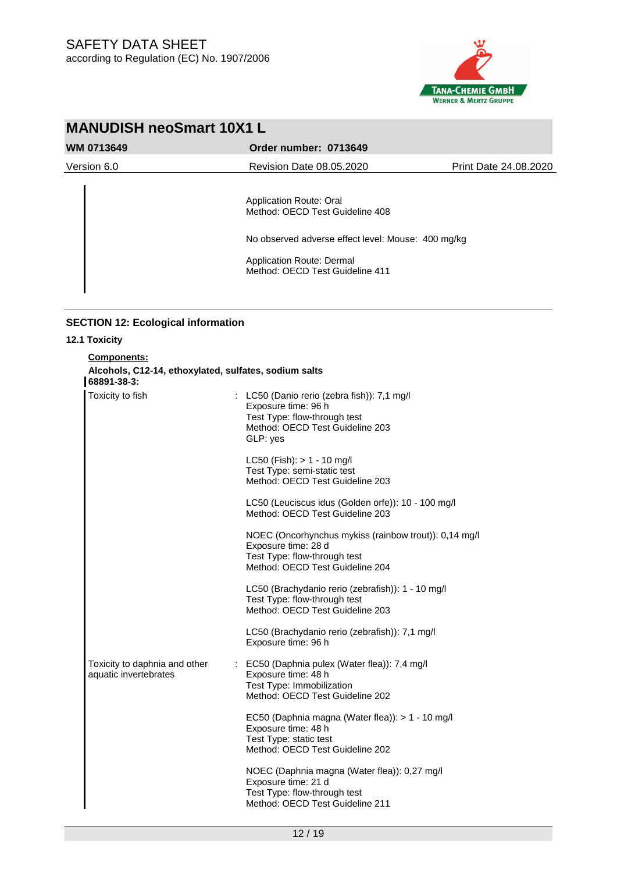

| <b>MANUDISH neoSmart 10X1 L</b> |                                                                                                                                                                                  |                       |  |
|---------------------------------|----------------------------------------------------------------------------------------------------------------------------------------------------------------------------------|-----------------------|--|
| <b>WM 0713649</b>               | Order number: 0713649                                                                                                                                                            |                       |  |
| Version 6.0                     | Revision Date 08.05.2020                                                                                                                                                         | Print Date 24.08.2020 |  |
|                                 | Application Route: Oral<br>Method: OECD Test Guideline 408<br>No observed adverse effect level: Mouse: 400 mg/kg<br>Application Route: Dermal<br>Method: OECD Test Guideline 411 |                       |  |

## **SECTION 12: Ecological information**

| 12.1 Toxicity                                                                       |                                                                                                                                                   |  |  |  |  |  |  |
|-------------------------------------------------------------------------------------|---------------------------------------------------------------------------------------------------------------------------------------------------|--|--|--|--|--|--|
| Components:<br>Alcohols, C12-14, ethoxylated, sulfates, sodium salts<br>68891-38-3: |                                                                                                                                                   |  |  |  |  |  |  |
| Toxicity to fish                                                                    | : LC50 (Danio rerio (zebra fish)): 7,1 mg/l<br>Exposure time: 96 h<br>Test Type: flow-through test<br>Method: OECD Test Guideline 203<br>GLP: yes |  |  |  |  |  |  |
|                                                                                     | LC50 (Fish): $> 1 - 10$ mg/l<br>Test Type: semi-static test<br>Method: OECD Test Guideline 203                                                    |  |  |  |  |  |  |
|                                                                                     | LC50 (Leuciscus idus (Golden orfe)): 10 - 100 mg/l<br>Method: OECD Test Guideline 203                                                             |  |  |  |  |  |  |
|                                                                                     | NOEC (Oncorhynchus mykiss (rainbow trout)): 0,14 mg/l<br>Exposure time: 28 d<br>Test Type: flow-through test<br>Method: OECD Test Guideline 204   |  |  |  |  |  |  |
|                                                                                     | LC50 (Brachydanio rerio (zebrafish)): 1 - 10 mg/l<br>Test Type: flow-through test<br>Method: OECD Test Guideline 203                              |  |  |  |  |  |  |
|                                                                                     | LC50 (Brachydanio rerio (zebrafish)): 7,1 mg/l<br>Exposure time: 96 h                                                                             |  |  |  |  |  |  |
| Toxicity to daphnia and other<br>aquatic invertebrates                              | : EC50 (Daphnia pulex (Water flea)): 7,4 mg/l<br>Exposure time: 48 h<br>Test Type: Immobilization<br>Method: OECD Test Guideline 202              |  |  |  |  |  |  |
|                                                                                     | EC50 (Daphnia magna (Water flea)): > 1 - 10 mg/l<br>Exposure time: 48 h<br>Test Type: static test<br>Method: OECD Test Guideline 202              |  |  |  |  |  |  |
|                                                                                     | NOEC (Daphnia magna (Water flea)): 0,27 mg/l<br>Exposure time: 21 d<br>Test Type: flow-through test<br>Method: OECD Test Guideline 211            |  |  |  |  |  |  |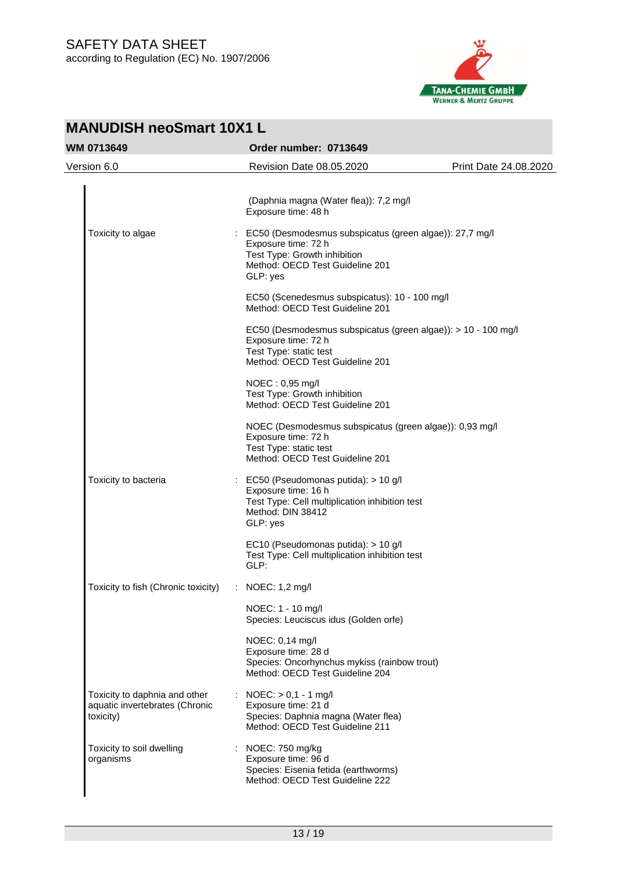

|                   | <b>MANUDISH neoSmart 10X1 L</b>                                              |                       |                                                                                                                                                                 |                       |  |
|-------------------|------------------------------------------------------------------------------|-----------------------|-----------------------------------------------------------------------------------------------------------------------------------------------------------------|-----------------------|--|
| <b>WM 0713649</b> |                                                                              | Order number: 0713649 |                                                                                                                                                                 |                       |  |
|                   | Version 6.0                                                                  |                       | Revision Date 08.05.2020                                                                                                                                        | Print Date 24.08.2020 |  |
|                   |                                                                              |                       | (Daphnia magna (Water flea)): 7,2 mg/l<br>Exposure time: 48 h                                                                                                   |                       |  |
|                   | Toxicity to algae                                                            |                       | : EC50 (Desmodesmus subspicatus (green algae)): 27,7 mg/l<br>Exposure time: 72 h<br>Test Type: Growth inhibition<br>Method: OECD Test Guideline 201<br>GLP: yes |                       |  |
|                   |                                                                              |                       | EC50 (Scenedesmus subspicatus): 10 - 100 mg/l<br>Method: OECD Test Guideline 201                                                                                |                       |  |
|                   |                                                                              |                       | EC50 (Desmodesmus subspicatus (green algae)): > 10 - 100 mg/l<br>Exposure time: 72 h<br>Test Type: static test<br>Method: OECD Test Guideline 201               |                       |  |
|                   |                                                                              |                       | NOEC: 0,95 mg/l<br>Test Type: Growth inhibition<br>Method: OECD Test Guideline 201                                                                              |                       |  |
|                   |                                                                              |                       | NOEC (Desmodesmus subspicatus (green algae)): 0,93 mg/l<br>Exposure time: 72 h<br>Test Type: static test<br>Method: OECD Test Guideline 201                     |                       |  |
|                   | Toxicity to bacteria                                                         |                       | : EC50 (Pseudomonas putida): > 10 g/l<br>Exposure time: 16 h<br>Test Type: Cell multiplication inhibition test<br>Method: DIN 38412<br>GLP: yes                 |                       |  |
|                   |                                                                              |                       | EC10 (Pseudomonas putida): > 10 g/l<br>Test Type: Cell multiplication inhibition test<br>GLP:                                                                   |                       |  |
|                   | Toxicity to fish (Chronic toxicity)                                          |                       | : NOEC: 1,2 mg/l                                                                                                                                                |                       |  |
|                   |                                                                              |                       | NOEC: 1 - 10 mg/l<br>Species: Leuciscus idus (Golden orfe)                                                                                                      |                       |  |
|                   |                                                                              |                       | NOEC: 0,14 mg/l<br>Exposure time: 28 d<br>Species: Oncorhynchus mykiss (rainbow trout)<br>Method: OECD Test Guideline 204                                       |                       |  |
|                   | Toxicity to daphnia and other<br>aquatic invertebrates (Chronic<br>toxicity) |                       | : NOEC: $> 0,1 - 1$ mg/l<br>Exposure time: 21 d<br>Species: Daphnia magna (Water flea)<br>Method: OECD Test Guideline 211                                       |                       |  |
|                   | Toxicity to soil dwelling<br>organisms                                       |                       | : NOEC: 750 mg/kg<br>Exposure time: 96 d<br>Species: Eisenia fetida (earthworms)<br>Method: OECD Test Guideline 222                                             |                       |  |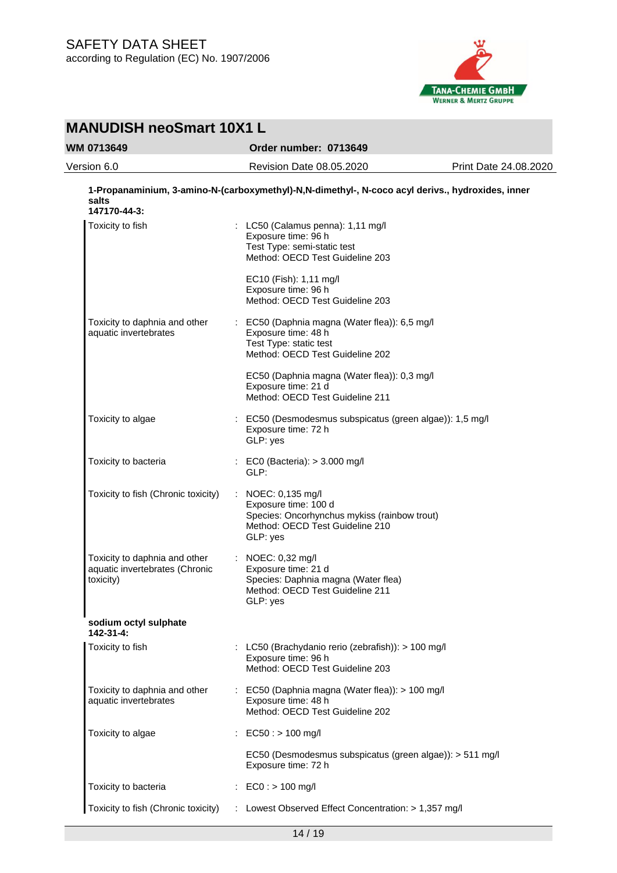

| <b>MANUDISH neoSmart 10X1 L</b>                                              |                                                                                                                                                     |                       |  |  |
|------------------------------------------------------------------------------|-----------------------------------------------------------------------------------------------------------------------------------------------------|-----------------------|--|--|
| WM 0713649                                                                   | Order number: 0713649                                                                                                                               |                       |  |  |
| Version 6.0                                                                  | Revision Date 08.05.2020                                                                                                                            | Print Date 24.08.2020 |  |  |
| salts<br>147170-44-3:                                                        | 1-Propanaminium, 3-amino-N-(carboxymethyl)-N,N-dimethyl-, N-coco acyl derivs., hydroxides, inner                                                    |                       |  |  |
| Toxicity to fish                                                             | : LC50 (Calamus penna): 1,11 mg/l<br>Exposure time: 96 h<br>Test Type: semi-static test<br>Method: OECD Test Guideline 203                          |                       |  |  |
|                                                                              | EC10 (Fish): 1,11 mg/l<br>Exposure time: 96 h<br>Method: OECD Test Guideline 203                                                                    |                       |  |  |
| Toxicity to daphnia and other<br>aquatic invertebrates                       | : EC50 (Daphnia magna (Water flea)): 6,5 mg/l<br>Exposure time: 48 h<br>Test Type: static test<br>Method: OECD Test Guideline 202                   |                       |  |  |
|                                                                              | EC50 (Daphnia magna (Water flea)): 0,3 mg/l<br>Exposure time: 21 d<br>Method: OECD Test Guideline 211                                               |                       |  |  |
| Toxicity to algae                                                            | : EC50 (Desmodesmus subspicatus (green algae)): 1,5 mg/l<br>Exposure time: 72 h<br>GLP: yes                                                         |                       |  |  |
| Toxicity to bacteria                                                         | : EC0 (Bacteria): > 3.000 mg/l<br>GLP:                                                                                                              |                       |  |  |
| Toxicity to fish (Chronic toxicity)                                          | : NOEC: $0,135 \text{ mg/l}$<br>Exposure time: 100 d<br>Species: Oncorhynchus mykiss (rainbow trout)<br>Method: OECD Test Guideline 210<br>GLP: yes |                       |  |  |
| Toxicity to daphnia and other<br>aquatic invertebrates (Chronic<br>toxicity) | : NOEC: 0,32 mg/l<br>Exposure time: 21 d<br>Species: Daphnia magna (Water flea)<br>Method: OECD Test Guideline 211<br>GLP: yes                      |                       |  |  |
| sodium octyl sulphate<br>142-31-4:                                           |                                                                                                                                                     |                       |  |  |
| Toxicity to fish                                                             | : LC50 (Brachydanio rerio (zebrafish)): $> 100$ mg/l<br>Exposure time: 96 h<br>Method: OECD Test Guideline 203                                      |                       |  |  |
| Toxicity to daphnia and other<br>aquatic invertebrates                       | : EC50 (Daphnia magna (Water flea)): > 100 mg/l<br>Exposure time: 48 h<br>Method: OECD Test Guideline 202                                           |                       |  |  |
| Toxicity to algae                                                            | $EC50:$ > 100 mg/l                                                                                                                                  |                       |  |  |
|                                                                              | EC50 (Desmodesmus subspicatus (green algae)): > 511 mg/l<br>Exposure time: 72 h                                                                     |                       |  |  |
| Toxicity to bacteria                                                         | : $EC0: > 100$ mg/l                                                                                                                                 |                       |  |  |
| Toxicity to fish (Chronic toxicity)                                          | : Lowest Observed Effect Concentration: > 1,357 mg/l                                                                                                |                       |  |  |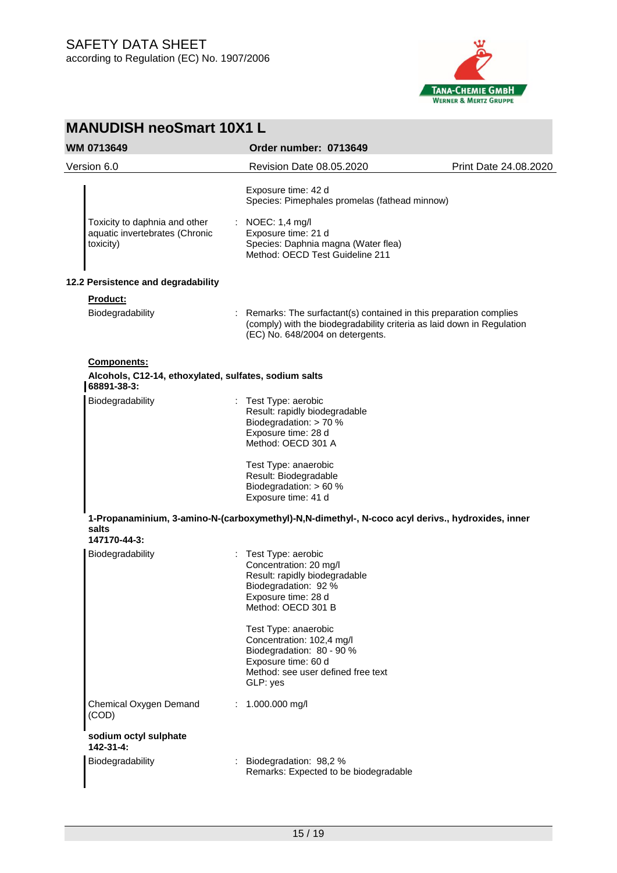

| <b>MANUDISH neoSmart 10X1 L</b>                                                            |                                                                                                                                                                                 |                       |
|--------------------------------------------------------------------------------------------|---------------------------------------------------------------------------------------------------------------------------------------------------------------------------------|-----------------------|
| <b>WM 0713649</b>                                                                          | Order number: 0713649                                                                                                                                                           |                       |
| Version 6.0                                                                                | Revision Date 08.05.2020                                                                                                                                                        | Print Date 24.08.2020 |
|                                                                                            | Exposure time: 42 d<br>Species: Pimephales promelas (fathead minnow)                                                                                                            |                       |
| Toxicity to daphnia and other<br>aquatic invertebrates (Chronic<br>toxicity)               | NOEC: 1,4 mg/l<br>÷.<br>Exposure time: 21 d<br>Species: Daphnia magna (Water flea)<br>Method: OECD Test Guideline 211                                                           |                       |
| 12.2 Persistence and degradability                                                         |                                                                                                                                                                                 |                       |
| Product:                                                                                   |                                                                                                                                                                                 |                       |
| Biodegradability                                                                           | Remarks: The surfactant(s) contained in this preparation complies<br>(comply) with the biodegradability criteria as laid down in Regulation<br>(EC) No. 648/2004 on detergents. |                       |
| <b>Components:</b><br>Alcohols, C12-14, ethoxylated, sulfates, sodium salts<br>68891-38-3: |                                                                                                                                                                                 |                       |
| Biodegradability                                                                           | : Test Type: aerobic<br>Result: rapidly biodegradable<br>Biodegradation: > 70 %<br>Exposure time: 28 d<br>Method: OECD 301 A                                                    |                       |
|                                                                                            | Test Type: anaerobic<br>Result: Biodegradable<br>Biodegradation: > 60 %<br>Exposure time: 41 d                                                                                  |                       |
| salts<br>147170-44-3:                                                                      | 1-Propanaminium, 3-amino-N-(carboxymethyl)-N,N-dimethyl-, N-coco acyl derivs., hydroxides, inner                                                                                |                       |
| Biodegradability                                                                           | : Test Type: aerobic<br>Concentration: 20 mg/l<br>Result: rapidly biodegradable<br>Biodegradation: 92 %<br>Exposure time: 28 d<br>Method: OECD 301 B                            |                       |
|                                                                                            | Test Type: anaerobic<br>Concentration: 102,4 mg/l<br>Biodegradation: 80 - 90 %<br>Exposure time: 60 d<br>Method: see user defined free text<br>GLP: yes                         |                       |
| Chemical Oxygen Demand<br>(COD)                                                            | 1.000.000 mg/l                                                                                                                                                                  |                       |
| sodium octyl sulphate<br>142-31-4:                                                         |                                                                                                                                                                                 |                       |
| Biodegradability                                                                           | Biodegradation: 98,2 %<br>Remarks: Expected to be biodegradable                                                                                                                 |                       |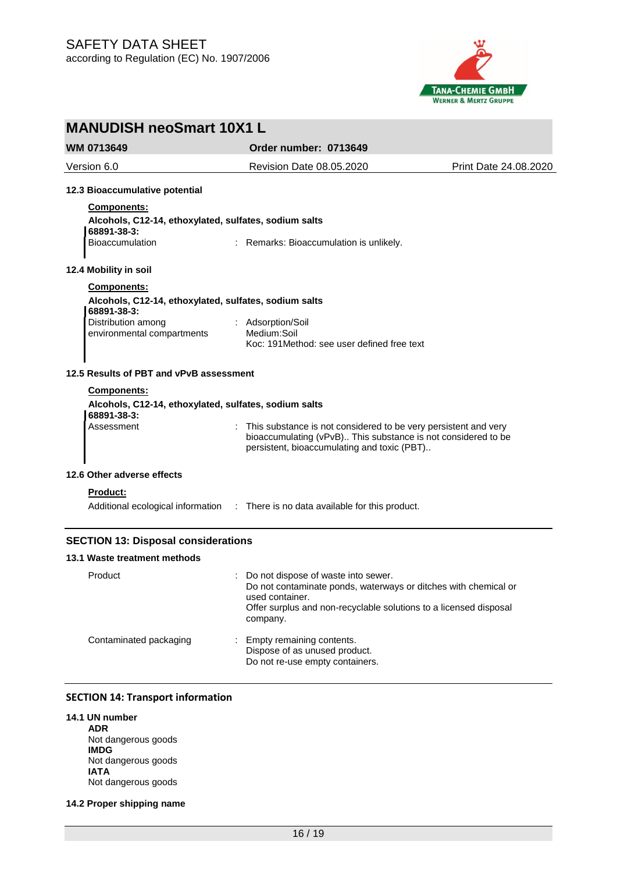

**WM 0713649 Order number: 0713649**

Version 6.0 Revision Date 08.05.2020 Print Date 24.08.2020 **12.3 Bioaccumulative potential Components: Alcohols, C12-14, ethoxylated, sulfates, sodium salts 68891-38-3:** Bioaccumulation : Remarks: Bioaccumulation is unlikely. **12.4 Mobility in soil Components: Alcohols, C12-14, ethoxylated, sulfates, sodium salts 68891-38-3:** Distribution among environmental compartments : Adsorption/Soil Medium:Soil Koc: 191Method: see user defined free text **12.5 Results of PBT and vPvB assessment Components: Alcohols, C12-14, ethoxylated, sulfates, sodium salts 68891-38-3:** Assessment : This substance is not considered to be very persistent and very bioaccumulating (vPvB).. This substance is not considered to be persistent, bioaccumulating and toxic (PBT).. **12.6 Other adverse effects Product:** Additional ecological information : There is no data available for this product. **SECTION 13: Disposal considerations 13.1 Waste treatment methods** Product : Do not dispose of waste into sewer. Do not contaminate ponds, waterways or ditches with chemical or used container. Offer surplus and non-recyclable solutions to a licensed disposal company. Contaminated packaging : Empty remaining contents. Dispose of as unused product.

## **SECTION 14: Transport information**

- **14.1 UN number ADR** Not dangerous goods **IMDG** Not dangerous goods **IATA** Not dangerous goods
- **14.2 Proper shipping name**

Do not re-use empty containers.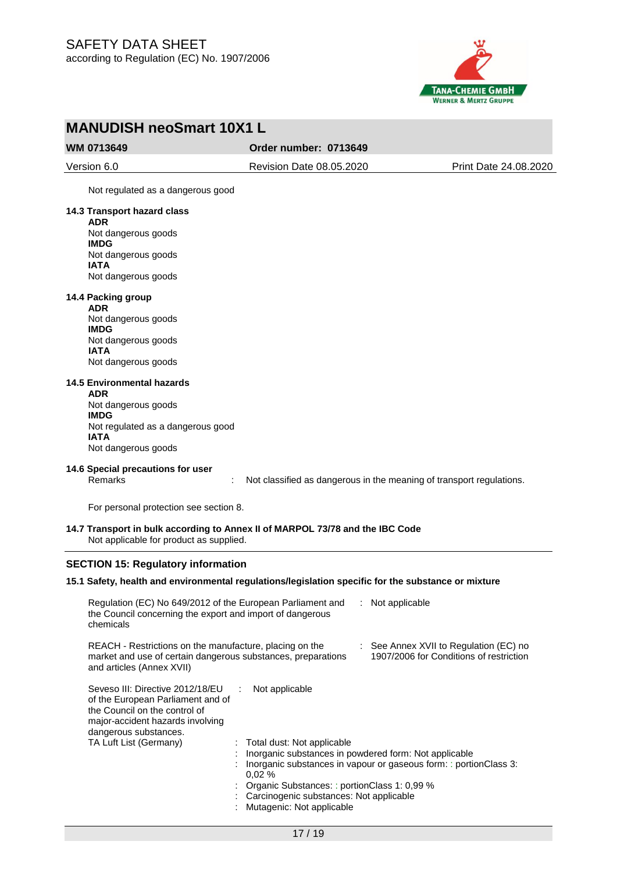

**WM 0713649 Order number: 0713649**

Version 6.0 Revision Date 08.05.2020 Print Date 24.08.2020

Not regulated as a dangerous good

## **14.3 Transport hazard class**

**ADR** Not dangerous goods **IMDG** Not dangerous goods **IATA** Not dangerous goods

#### **14.4 Packing group**

**ADR** Not dangerous goods **IMDG** Not dangerous goods **IATA** Not dangerous goods

### **14.5 Environmental hazards**

**ADR** Not dangerous goods **IMDG** Not regulated as a dangerous good **IATA** Not dangerous goods

## **14.6 Special precautions for user**

Remarks : Not classified as dangerous in the meaning of transport regulations.

For personal protection see section 8.

### **14.7 Transport in bulk according to Annex II of MARPOL 73/78 and the IBC Code** Not applicable for product as supplied.

#### **SECTION 15: Regulatory information**

#### **15.1 Safety, health and environmental regulations/legislation specific for the substance or mixture**

| Regulation (EC) No 649/2012 of the European Parliament and<br>the Council concerning the export and import of dangerous<br>chemicals                                                          |                                                                                                                                                                                                                      | $:$ Not applicable                                                                |
|-----------------------------------------------------------------------------------------------------------------------------------------------------------------------------------------------|----------------------------------------------------------------------------------------------------------------------------------------------------------------------------------------------------------------------|-----------------------------------------------------------------------------------|
| REACH - Restrictions on the manufacture, placing on the<br>market and use of certain dangerous substances, preparations<br>and articles (Annex XVII)                                          |                                                                                                                                                                                                                      | : See Annex XVII to Regulation (EC) no<br>1907/2006 for Conditions of restriction |
| Seveso III: Directive 2012/18/EU<br>of the European Parliament and of<br>the Council on the control of<br>major-accident hazards involving<br>dangerous substances.<br>TA Luft List (Germany) | Not applicable<br>÷<br>: Total dust: Not applicable<br>Inorganic substances in powdered form: Not applicable<br>0.02%<br>: Organic Substances: : portionClass 1: 0,99 %<br>: Carcinogenic substances: Not applicable | Inorganic substances in vapour or gaseous form: : portionClass 3:                 |
|                                                                                                                                                                                               | Mutagenic: Not applicable                                                                                                                                                                                            |                                                                                   |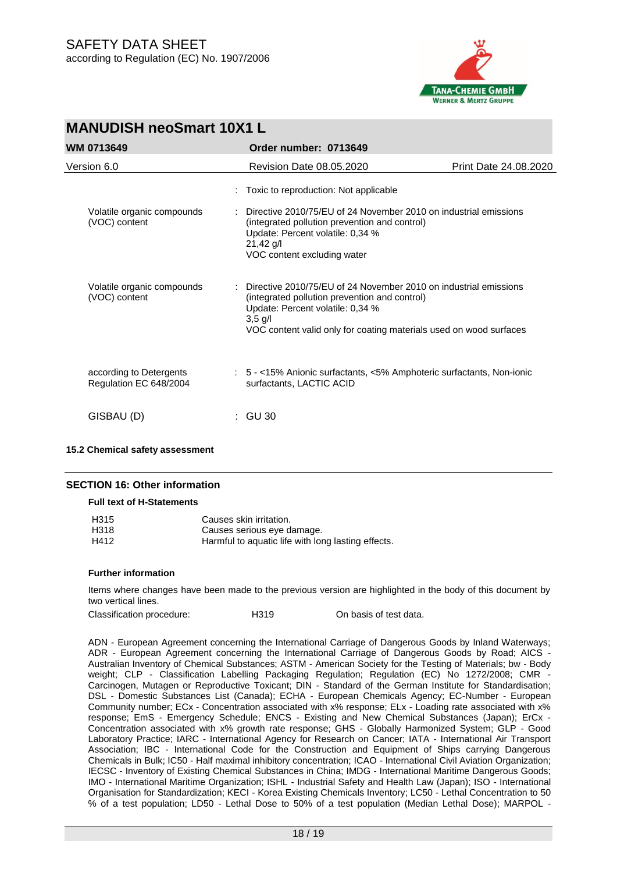

| <b>MANUDISH neoSmart 10X1 L</b>                   |  |                                                                                                                                                                                                                                          |                       |  |
|---------------------------------------------------|--|------------------------------------------------------------------------------------------------------------------------------------------------------------------------------------------------------------------------------------------|-----------------------|--|
| WM 0713649                                        |  | Order number: 0713649                                                                                                                                                                                                                    |                       |  |
| Version 6.0                                       |  | Revision Date 08.05.2020                                                                                                                                                                                                                 | Print Date 24.08.2020 |  |
|                                                   |  | : Toxic to reproduction: Not applicable                                                                                                                                                                                                  |                       |  |
| Volatile organic compounds<br>(VOC) content       |  | Directive 2010/75/EU of 24 November 2010 on industrial emissions<br>(integrated pollution prevention and control)<br>Update: Percent volatile: 0,34 %<br>$21,42$ g/l<br>VOC content excluding water                                      |                       |  |
| Volatile organic compounds<br>(VOC) content       |  | Directive 2010/75/EU of 24 November 2010 on industrial emissions<br>(integrated pollution prevention and control)<br>Update: Percent volatile: 0,34 %<br>$3,5$ g/l<br>VOC content valid only for coating materials used on wood surfaces |                       |  |
| according to Detergents<br>Regulation EC 648/2004 |  | : 5 - <15% Anionic surfactants, <5% Amphoteric surfactants, Non-ionic<br>surfactants, LACTIC ACID                                                                                                                                        |                       |  |
| GISBAU (D)                                        |  | : GU 30                                                                                                                                                                                                                                  |                       |  |

#### **15.2 Chemical safety assessment**

## **SECTION 16: Other information**

**Full text of H-Statements**

| H <sub>315</sub> | Causes skin irritation.                            |
|------------------|----------------------------------------------------|
| H318             | Causes serious eye damage.                         |
| H412             | Harmful to aquatic life with long lasting effects. |

#### **Further information**

Items where changes have been made to the previous version are highlighted in the body of this document by two vertical lines.

| Classification procedure: | H <sub>319</sub> | On basis of test data. |
|---------------------------|------------------|------------------------|
|---------------------------|------------------|------------------------|

ADN - European Agreement concerning the International Carriage of Dangerous Goods by Inland Waterways; ADR - European Agreement concerning the International Carriage of Dangerous Goods by Road; AICS - Australian Inventory of Chemical Substances; ASTM - American Society for the Testing of Materials; bw - Body weight; CLP - Classification Labelling Packaging Regulation; Regulation (EC) No 1272/2008; CMR - Carcinogen, Mutagen or Reproductive Toxicant; DIN - Standard of the German Institute for Standardisation; DSL - Domestic Substances List (Canada); ECHA - European Chemicals Agency; EC-Number - European Community number; ECx - Concentration associated with x% response; ELx - Loading rate associated with x% response; EmS - Emergency Schedule; ENCS - Existing and New Chemical Substances (Japan); ErCx - Concentration associated with x% growth rate response; GHS - Globally Harmonized System; GLP - Good Laboratory Practice; IARC - International Agency for Research on Cancer; IATA - International Air Transport Association; IBC - International Code for the Construction and Equipment of Ships carrying Dangerous Chemicals in Bulk; IC50 - Half maximal inhibitory concentration; ICAO - International Civil Aviation Organization; IECSC - Inventory of Existing Chemical Substances in China; IMDG - International Maritime Dangerous Goods; IMO - International Maritime Organization; ISHL - Industrial Safety and Health Law (Japan); ISO - International Organisation for Standardization; KECI - Korea Existing Chemicals Inventory; LC50 - Lethal Concentration to 50 % of a test population; LD50 - Lethal Dose to 50% of a test population (Median Lethal Dose); MARPOL -